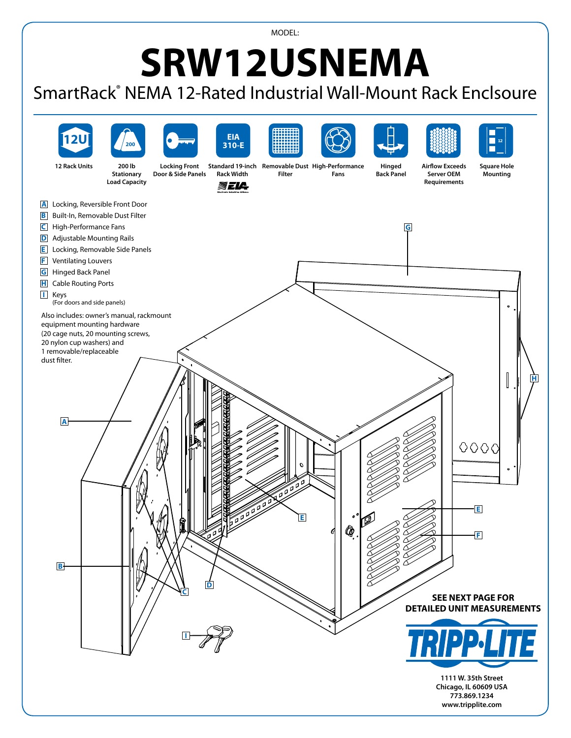MODEL:

## **SRW12USNEMA**

## SmartRack® NEMA 12-Rated Industrial Wall-Mount Rack Enclsoure